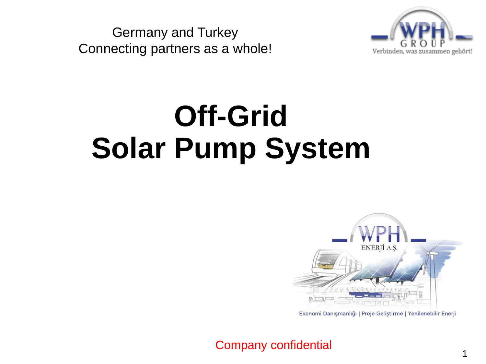Germany and Turkey Connecting partners as a whole!



# **Off-Grid Solar Pump System**



Ekonomi Danışmanlığı | Proje Geliştirme | Yenilenebilir Enerji

1

Company confidential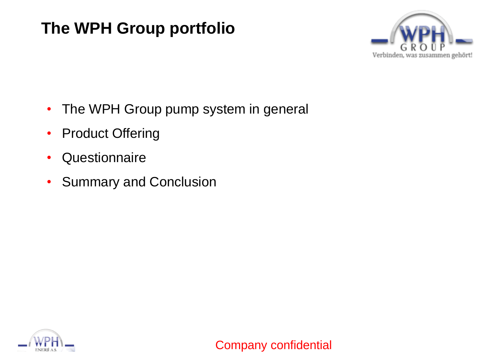#### **The WPH Group portfolio**



- The WPH Group pump system in general
- Product Offering
- Questionnaire
- Summary and Conclusion

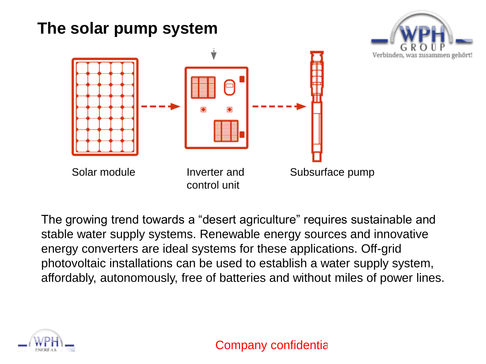

The growing trend towards a "desert agriculture" requires sustainable and stable water supply systems. Renewable energy sources and innovative energy converters are ideal systems for these applications. Off-grid photovoltaic installations can be used to establish a water supply system, affordably, autonomously, free of batteries and without miles of power lines.



Company confidentia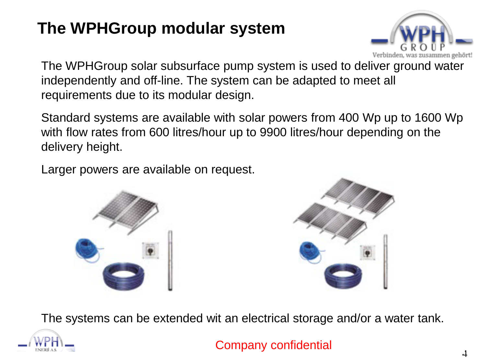### **The WPHGroup modular system**



The WPHGroup solar subsurface pump system is used to deliver ground water independently and off-line. The system can be adapted to meet all requirements due to its modular design.

Standard systems are available with solar powers from 400 Wp up to 1600 Wp with flow rates from 600 litres/hour up to 9900 litres/hour depending on the delivery height.

Larger powers are available on request.





The systems can be extended wit an electrical storage and/or a water tank.



Company confidential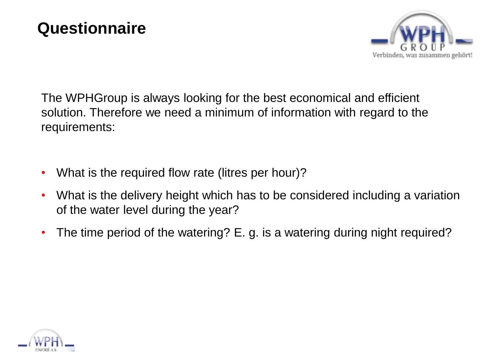

The WPHGroup is always looking for the best economical and efficient solution. Therefore we need a minimum of information with regard to the requirements:

- What is the required flow rate (litres per hour)?
- What is the delivery height which has to be considered including a variation of the water level during the year?
- The time period of the watering? E. g. is a watering during night required?

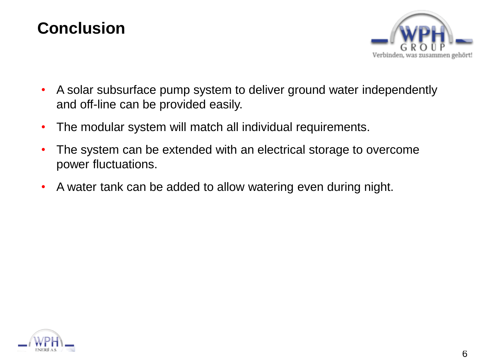#### **Conclusion**



- A solar subsurface pump system to deliver ground water independently and off-line can be provided easily.
- The modular system will match all individual requirements.
- The system can be extended with an electrical storage to overcome power fluctuations.
- A water tank can be added to allow watering even during night.